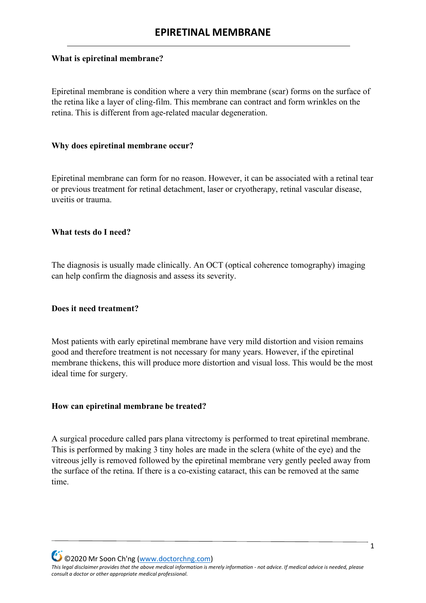## **What is epiretinal membrane?**

Epiretinal membrane is condition where a very thin membrane (scar) forms on the surface of the retina like a layer of cling-film. This membrane can contract and form wrinkles on the retina. This is different from age-related macular degeneration.

## **Why does epiretinal membrane occur?**

Epiretinal membrane can form for no reason. However, it can be associated with a retinal tear or previous treatment for retinal detachment, laser or cryotherapy, retinal vascular disease, uveitis or trauma.

## **What tests do I need?**

The diagnosis is usually made clinically. An OCT (optical coherence tomography) imaging can help confirm the diagnosis and assess its severity.

## **Does it need treatment?**

Most patients with early epiretinal membrane have very mild distortion and vision remains good and therefore treatment is not necessary for many years. However, if the epiretinal membrane thickens, this will produce more distortion and visual loss. This would be the most ideal time for surgery.

## **How can epiretinal membrane be treated?**

A surgical procedure called pars plana vitrectomy is performed to treat epiretinal membrane. This is performed by making 3 tiny holes are made in the sclera (white of the eye) and the vitreous jelly is removed followed by the epiretinal membrane very gently peeled away from the surface of the retina. If there is a co-existing cataract, this can be removed at the same time.

©2020 Mr Soon Ch'ng [\(www.doctorchng.com\)](http://www.doctorchng.com/) *This legal disclaimer provides that the above medical information is merely information - not advice. If medical advice is needed, please consult a doctor or other appropriate medical professional.*